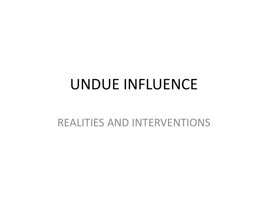### UNDUE INFLUENCE

#### REALITIES AND INTERVENTIONS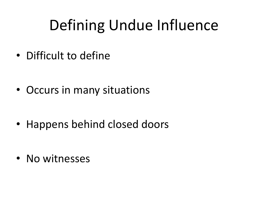# Defining Undue Influence

• Difficult to define

• Occurs in many situations

• Happens behind closed doors

• No witnesses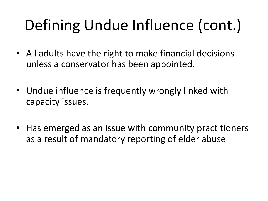# Defining Undue Influence (cont.)

- All adults have the right to make financial decisions unless a conservator has been appointed.
- Undue influence is frequently wrongly linked with capacity issues.
- Has emerged as an issue with community practitioners as a result of mandatory reporting of elder abuse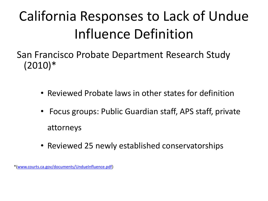## California Responses to Lack of Undue Influence Definition

San Francisco Probate Department Research Study (2010)\*

- Reviewed Probate laws in other states for definition
- Focus groups: Public Guardian staff, APS staff, private attorneys
- Reviewed 25 newly established conservatorships

\*([www.courts.ca.gov/documents/UndueInfluence.pdf\)](http://www.courts.ca.gov/documents/UndueInfluence.pdf)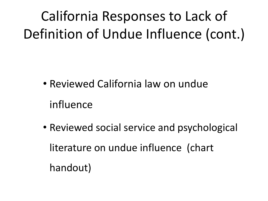California Responses to Lack of Definition of Undue Influence (cont.)

- Reviewed California law on undue influence
- Reviewed social service and psychological literature on undue influence (chart handout)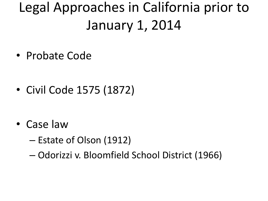## Legal Approaches in California prior to January 1, 2014

• Probate Code

• Civil Code 1575 (1872)

- Case law
	- Estate of Olson (1912)
	- Odorizzi v. Bloomfield School District (1966)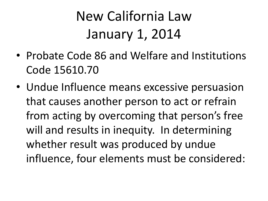## New California Law January 1, 2014

- Probate Code 86 and Welfare and Institutions Code 15610.70
- Undue Influence means excessive persuasion that causes another person to act or refrain from acting by overcoming that person's free will and results in inequity. In determining whether result was produced by undue influence, four elements must be considered: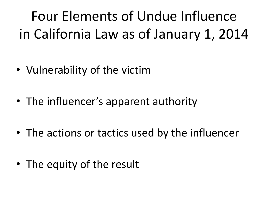Four Elements of Undue Influence in California Law as of January 1, 2014

- Vulnerability of the victim
- The influencer's apparent authority
- The actions or tactics used by the influencer
- The equity of the result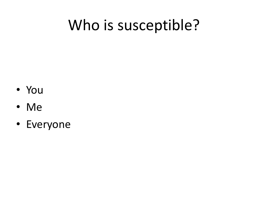## Who is susceptible?

- You
- Me
- Everyone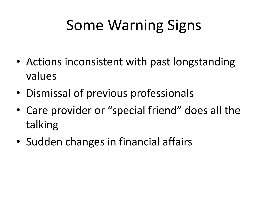# Some Warning Signs

- Actions inconsistent with past longstanding values
- Dismissal of previous professionals
- Care provider or "special friend" does all the talking
- Sudden changes in financial affairs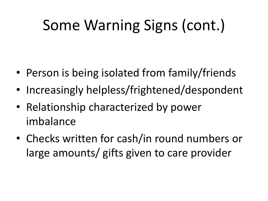# Some Warning Signs (cont.)

- Person is being isolated from family/friends
- Increasingly helpless/frightened/despondent
- Relationship characterized by power imbalance
- Checks written for cash/in round numbers or large amounts/ gifts given to care provider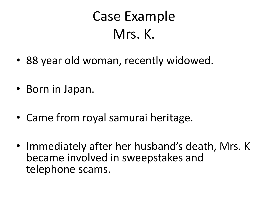### Case Example Mrs. K.

- 88 year old woman, recently widowed.
- Born in Japan.
- Came from royal samurai heritage.
- Immediately after her husband's death, Mrs. K became involved in sweepstakes and telephone scams.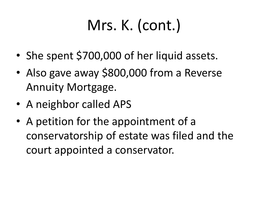# Mrs. K. (cont.)

- She spent \$700,000 of her liquid assets.
- Also gave away \$800,000 from a Reverse Annuity Mortgage.
- A neighbor called APS
- A petition for the appointment of a conservatorship of estate was filed and the court appointed a conservator.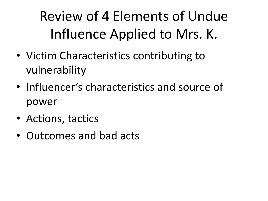Review of 4 Elements of Undue Influence Applied to Mrs. K.

- Victim Characteristics contributing to vulnerability
- Influencer's characteristics and source of power
- Actions, tactics
- Outcomes and bad acts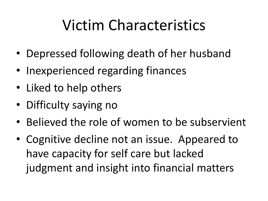# Victim Characteristics

- Depressed following death of her husband
- Inexperienced regarding finances
- Liked to help others
- Difficulty saying no
- Believed the role of women to be subservient
- Cognitive decline not an issue. Appeared to have capacity for self care but lacked judgment and insight into financial matters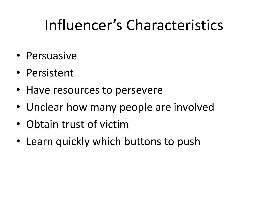# Influencer's Characteristics

- Persuasive
- Persistent
- Have resources to persevere
- Unclear how many people are involved
- Obtain trust of victim
- Learn quickly which buttons to push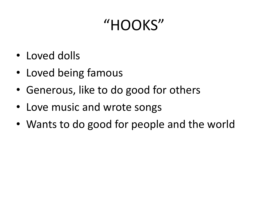## "HOOKS"

- Loved dolls
- Loved being famous
- Generous, like to do good for others
- Love music and wrote songs
- Wants to do good for people and the world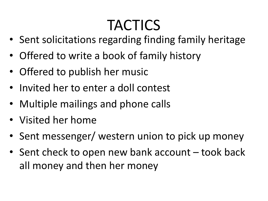# TACTICS

- Sent solicitations regarding finding family heritage
- Offered to write a book of family history
- Offered to publish her music
- Invited her to enter a doll contest
- Multiple mailings and phone calls
- Visited her home
- Sent messenger/ western union to pick up money
- Sent check to open new bank account took back all money and then her money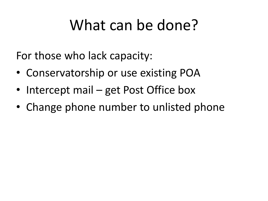### What can be done?

For those who lack capacity:

- Conservatorship or use existing POA
- Intercept mail get Post Office box
- Change phone number to unlisted phone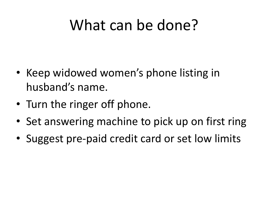### What can be done?

- Keep widowed women's phone listing in husband's name.
- Turn the ringer off phone.
- Set answering machine to pick up on first ring
- Suggest pre-paid credit card or set low limits